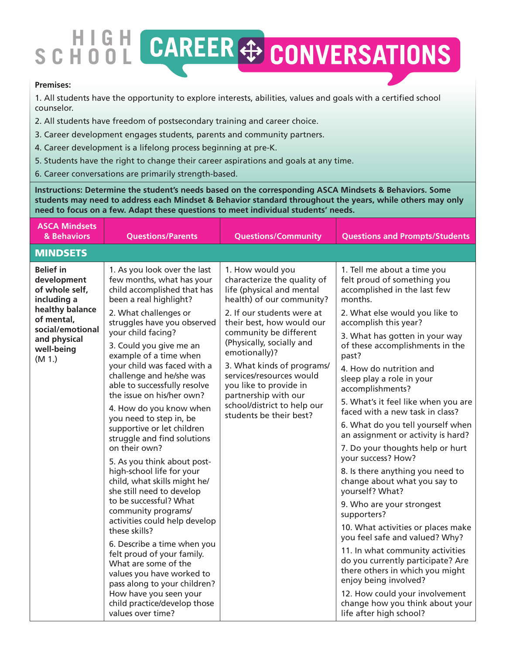## **GH CAREER + CONVERSATIONS SCH**

## **Premises:**

1. All students have the opportunity to explore interests, abilities, values and goals with a certified school counselor.

2. All students have freedom of postsecondary training and career choice.

- 3. Career development engages students, parents and community partners.
- 4. Career development is a lifelong process beginning at pre-K.
- 5. Students have the right to change their career aspirations and goals at any time.
- 6. Career conversations are primarily strength-based.

**Instructions: Determine the student's needs based on the corresponding ASCA Mindsets & Behaviors. Some students may need to address each Mindset & Behavior standard throughout the years, while others may only need to focus on a few. Adapt these questions to meet individual students' needs.**

| <b>ASCA Mindsets</b><br>& Behaviors                                                                                                                           | <b>Questions/Parents</b>                                                                                                                                                                                                                                                                                                                                                                                                                                                                                                                                                                                                                                                                                                                                                                                                                                                                                                                                                       | <b>Questions/Community</b>                                                                                                                                                                                                                                                                                                                                                                                         | <b>Questions and Prompts/Students</b>                                                                                                                                                                                                                                                                                                                                                                                                                                                                                                                                                                                                                                                                                                                                                                                                                                                                                                                                                     |
|---------------------------------------------------------------------------------------------------------------------------------------------------------------|--------------------------------------------------------------------------------------------------------------------------------------------------------------------------------------------------------------------------------------------------------------------------------------------------------------------------------------------------------------------------------------------------------------------------------------------------------------------------------------------------------------------------------------------------------------------------------------------------------------------------------------------------------------------------------------------------------------------------------------------------------------------------------------------------------------------------------------------------------------------------------------------------------------------------------------------------------------------------------|--------------------------------------------------------------------------------------------------------------------------------------------------------------------------------------------------------------------------------------------------------------------------------------------------------------------------------------------------------------------------------------------------------------------|-------------------------------------------------------------------------------------------------------------------------------------------------------------------------------------------------------------------------------------------------------------------------------------------------------------------------------------------------------------------------------------------------------------------------------------------------------------------------------------------------------------------------------------------------------------------------------------------------------------------------------------------------------------------------------------------------------------------------------------------------------------------------------------------------------------------------------------------------------------------------------------------------------------------------------------------------------------------------------------------|
| <b>MINDSETS</b>                                                                                                                                               |                                                                                                                                                                                                                                                                                                                                                                                                                                                                                                                                                                                                                                                                                                                                                                                                                                                                                                                                                                                |                                                                                                                                                                                                                                                                                                                                                                                                                    |                                                                                                                                                                                                                                                                                                                                                                                                                                                                                                                                                                                                                                                                                                                                                                                                                                                                                                                                                                                           |
| <b>Belief in</b><br>development<br>of whole self,<br>including a<br>healthy balance<br>of mental,<br>social/emotional<br>and physical<br>well-being<br>(M 1.) | 1. As you look over the last<br>few months, what has your<br>child accomplished that has<br>been a real highlight?<br>2. What challenges or<br>struggles have you observed<br>your child facing?<br>3. Could you give me an<br>example of a time when<br>your child was faced with a<br>challenge and he/she was<br>able to successfully resolve<br>the issue on his/her own?<br>4. How do you know when<br>you need to step in, be<br>supportive or let children<br>struggle and find solutions<br>on their own?<br>5. As you think about post-<br>high-school life for your<br>child, what skills might he/<br>she still need to develop<br>to be successful? What<br>community programs/<br>activities could help develop<br>these skills?<br>6. Describe a time when you<br>felt proud of your family.<br>What are some of the<br>values you have worked to<br>pass along to your children?<br>How have you seen your<br>child practice/develop those<br>values over time? | 1. How would you<br>characterize the quality of<br>life (physical and mental<br>health) of our community?<br>2. If our students were at<br>their best, how would our<br>community be different<br>(Physically, socially and<br>emotionally)?<br>3. What kinds of programs/<br>services/resources would<br>you like to provide in<br>partnership with our<br>school/district to help our<br>students be their best? | 1. Tell me about a time you<br>felt proud of something you<br>accomplished in the last few<br>months.<br>2. What else would you like to<br>accomplish this year?<br>3. What has gotten in your way<br>of these accomplishments in the<br>past?<br>4. How do nutrition and<br>sleep play a role in your<br>accomplishments?<br>5. What's it feel like when you are<br>faced with a new task in class?<br>6. What do you tell yourself when<br>an assignment or activity is hard?<br>7. Do your thoughts help or hurt<br>your success? How?<br>8. Is there anything you need to<br>change about what you say to<br>yourself? What?<br>9. Who are your strongest<br>supporters?<br>10. What activities or places make<br>you feel safe and valued? Why?<br>11. In what community activities<br>do you currently participate? Are<br>there others in which you might<br>enjoy being involved?<br>12. How could your involvement<br>change how you think about your<br>life after high school? |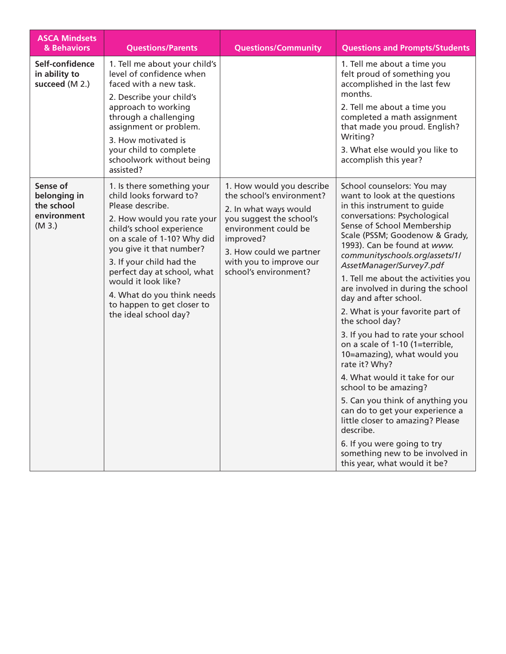| <b>ASCA Mindsets</b><br>& Behaviors                            | <b>Questions/Parents</b>                                                                                                                                                                                                                                                                                                                                               | <b>Questions/Community</b>                                                                                                                                                                                                      | <b>Questions and Prompts/Students</b>                                                                                                                                                                                                                                                                                                                                                                                                                                                                                                                                                                                                                                                                                                                                                                                                                           |
|----------------------------------------------------------------|------------------------------------------------------------------------------------------------------------------------------------------------------------------------------------------------------------------------------------------------------------------------------------------------------------------------------------------------------------------------|---------------------------------------------------------------------------------------------------------------------------------------------------------------------------------------------------------------------------------|-----------------------------------------------------------------------------------------------------------------------------------------------------------------------------------------------------------------------------------------------------------------------------------------------------------------------------------------------------------------------------------------------------------------------------------------------------------------------------------------------------------------------------------------------------------------------------------------------------------------------------------------------------------------------------------------------------------------------------------------------------------------------------------------------------------------------------------------------------------------|
| Self-confidence<br>in ability to<br>succeed (M 2.)             | 1. Tell me about your child's<br>level of confidence when<br>faced with a new task.<br>2. Describe your child's<br>approach to working<br>through a challenging<br>assignment or problem.<br>3. How motivated is<br>your child to complete<br>schoolwork without being<br>assisted?                                                                                    |                                                                                                                                                                                                                                 | 1. Tell me about a time you<br>felt proud of something you<br>accomplished in the last few<br>months.<br>2. Tell me about a time you<br>completed a math assignment<br>that made you proud. English?<br>Writing?<br>3. What else would you like to<br>accomplish this year?                                                                                                                                                                                                                                                                                                                                                                                                                                                                                                                                                                                     |
| Sense of<br>belonging in<br>the school<br>environment<br>(M3.) | 1. Is there something your<br>child looks forward to?<br>Please describe.<br>2. How would you rate your<br>child's school experience<br>on a scale of 1-10? Why did<br>you give it that number?<br>3. If your child had the<br>perfect day at school, what<br>would it look like?<br>4. What do you think needs<br>to happen to get closer to<br>the ideal school day? | 1. How would you describe<br>the school's environment?<br>2. In what ways would<br>you suggest the school's<br>environment could be<br>improved?<br>3. How could we partner<br>with you to improve our<br>school's environment? | School counselors: You may<br>want to look at the questions<br>in this instrument to guide<br>conversations: Psychological<br>Sense of School Membership<br>Scale (PSSM; Goodenow & Grady,<br>1993). Can be found at www.<br>communityschools.org/assets/1/<br>AssetManager/Survey7.pdf<br>1. Tell me about the activities you<br>are involved in during the school<br>day and after school.<br>2. What is your favorite part of<br>the school day?<br>3. If you had to rate your school<br>on a scale of 1-10 (1=terrible,<br>10=amazing), what would you<br>rate it? Why?<br>4. What would it take for our<br>school to be amazing?<br>5. Can you think of anything you<br>can do to get your experience a<br>little closer to amazing? Please<br>describe.<br>6. If you were going to try<br>something new to be involved in<br>this year, what would it be? |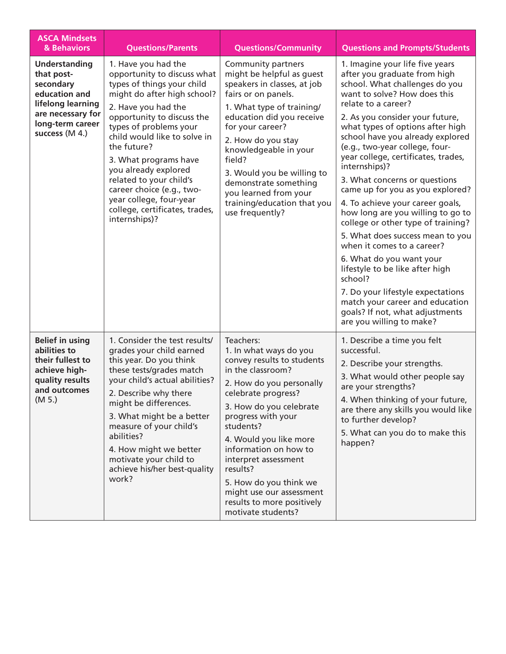| <b>ASCA Mindsets</b><br>& Behaviors                                                                                                              | <b>Questions/Parents</b>                                                                                                                                                                                                                                                                                                                                                                                                             | <b>Questions/Community</b>                                                                                                                                                                                                                                                                                                                                                                               | <b>Questions and Prompts/Students</b>                                                                                                                                                                                                                                                                                                                                                                                                                                                                                                                                                                                                                                                                                                                                                                                                |
|--------------------------------------------------------------------------------------------------------------------------------------------------|--------------------------------------------------------------------------------------------------------------------------------------------------------------------------------------------------------------------------------------------------------------------------------------------------------------------------------------------------------------------------------------------------------------------------------------|----------------------------------------------------------------------------------------------------------------------------------------------------------------------------------------------------------------------------------------------------------------------------------------------------------------------------------------------------------------------------------------------------------|--------------------------------------------------------------------------------------------------------------------------------------------------------------------------------------------------------------------------------------------------------------------------------------------------------------------------------------------------------------------------------------------------------------------------------------------------------------------------------------------------------------------------------------------------------------------------------------------------------------------------------------------------------------------------------------------------------------------------------------------------------------------------------------------------------------------------------------|
| <b>Understanding</b><br>that post-<br>secondary<br>education and<br>lifelong learning<br>are necessary for<br>long-term career<br>success (M 4.) | 1. Have you had the<br>opportunity to discuss what<br>types of things your child<br>might do after high school?<br>2. Have you had the<br>opportunity to discuss the<br>types of problems your<br>child would like to solve in<br>the future?<br>3. What programs have<br>you already explored<br>related to your child's<br>career choice (e.g., two-<br>year college, four-year<br>college, certificates, trades,<br>internships)? | Community partners<br>might be helpful as guest<br>speakers in classes, at job<br>fairs or on panels.<br>1. What type of training/<br>education did you receive<br>for your career?<br>2. How do you stay<br>knowledgeable in your<br>field?<br>3. Would you be willing to<br>demonstrate something<br>you learned from your<br>training/education that you<br>use frequently?                           | 1. Imagine your life five years<br>after you graduate from high<br>school. What challenges do you<br>want to solve? How does this<br>relate to a career?<br>2. As you consider your future,<br>what types of options after high<br>school have you already explored<br>(e.g., two-year college, four-<br>year college, certificates, trades,<br>internships)?<br>3. What concerns or questions<br>came up for you as you explored?<br>4. To achieve your career goals,<br>how long are you willing to go to<br>college or other type of training?<br>5. What does success mean to you<br>when it comes to a career?<br>6. What do you want your<br>lifestyle to be like after high<br>school?<br>7. Do your lifestyle expectations<br>match your career and education<br>goals? If not, what adjustments<br>are you willing to make? |
| <b>Belief in using</b><br>abilities to<br>their fullest to<br>achieve high-<br>quality results<br>and outcomes<br>(M 5.)                         | 1. Consider the test results/<br>grades your child earned<br>this year. Do you think<br>these tests/grades match<br>your child's actual abilities?<br>2. Describe why there<br>might be differences.<br>3. What might be a better<br>measure of your child's<br>abilities?<br>4. How might we better<br>motivate your child to<br>achieve his/her best-quality<br>work?                                                              | Teachers:<br>1. In what ways do you<br>convey results to students<br>in the classroom?<br>2. How do you personally<br>celebrate progress?<br>3. How do you celebrate<br>progress with your<br>students?<br>4. Would you like more<br>information on how to<br>interpret assessment<br>results?<br>5. How do you think we<br>might use our assessment<br>results to more positively<br>motivate students? | 1. Describe a time you felt<br>successful.<br>2. Describe your strengths.<br>3. What would other people say<br>are your strengths?<br>4. When thinking of your future,<br>are there any skills you would like<br>to further develop?<br>5. What can you do to make this<br>happen?                                                                                                                                                                                                                                                                                                                                                                                                                                                                                                                                                   |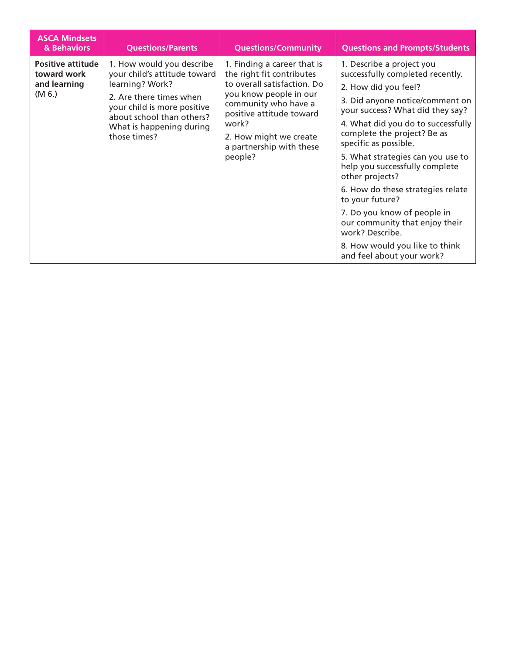| <b>ASCA Mindsets</b><br>& Behaviors                               | <b>Questions/Parents</b>                                                                                                                                                                                        | <b>Questions/Community</b>                                                                                                                                                                                                                      | <b>Questions and Prompts/Students</b>                                                                                                                                                                                                                                                                                                                                                                                                                                                                                                                           |
|-------------------------------------------------------------------|-----------------------------------------------------------------------------------------------------------------------------------------------------------------------------------------------------------------|-------------------------------------------------------------------------------------------------------------------------------------------------------------------------------------------------------------------------------------------------|-----------------------------------------------------------------------------------------------------------------------------------------------------------------------------------------------------------------------------------------------------------------------------------------------------------------------------------------------------------------------------------------------------------------------------------------------------------------------------------------------------------------------------------------------------------------|
| <b>Positive attitude</b><br>toward work<br>and learning<br>(M 6.) | 1. How would you describe<br>your child's attitude toward<br>learning? Work?<br>2. Are there times when<br>your child is more positive<br>about school than others?<br>What is happening during<br>those times? | 1. Finding a career that is<br>the right fit contributes<br>to overall satisfaction. Do<br>you know people in our<br>community who have a<br>positive attitude toward<br>work?<br>2. How might we create<br>a partnership with these<br>people? | 1. Describe a project you<br>successfully completed recently.<br>2. How did you feel?<br>3. Did anyone notice/comment on<br>your success? What did they say?<br>4. What did you do to successfully<br>complete the project? Be as<br>specific as possible.<br>5. What strategies can you use to<br>help you successfully complete<br>other projects?<br>6. How do these strategies relate<br>to your future?<br>7. Do you know of people in<br>our community that enjoy their<br>work? Describe.<br>8. How would you like to think<br>and feel about your work? |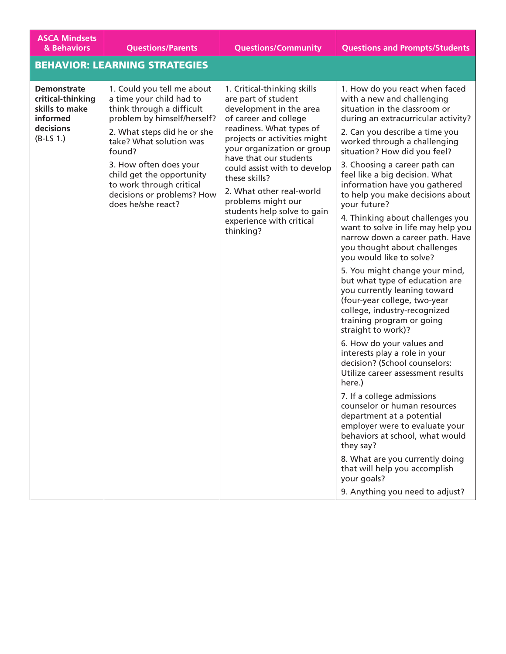| <b>ASCA Mindsets</b><br>& Behaviors                                                               | <b>Questions/Parents</b>                                                                                                                                                                                                                                                                                                      | <b>Questions/Community</b>                                                                                                                                                                                                                                                                                                                                                                            | <b>Questions and Prompts/Students</b>                                                                                                                                                                                                                                                                                                                                                                                                                                                                                                                                                                                                                                                                                                                                                                                                                                                                                                                                                                                                                                                                                                                                                                                                           |
|---------------------------------------------------------------------------------------------------|-------------------------------------------------------------------------------------------------------------------------------------------------------------------------------------------------------------------------------------------------------------------------------------------------------------------------------|-------------------------------------------------------------------------------------------------------------------------------------------------------------------------------------------------------------------------------------------------------------------------------------------------------------------------------------------------------------------------------------------------------|-------------------------------------------------------------------------------------------------------------------------------------------------------------------------------------------------------------------------------------------------------------------------------------------------------------------------------------------------------------------------------------------------------------------------------------------------------------------------------------------------------------------------------------------------------------------------------------------------------------------------------------------------------------------------------------------------------------------------------------------------------------------------------------------------------------------------------------------------------------------------------------------------------------------------------------------------------------------------------------------------------------------------------------------------------------------------------------------------------------------------------------------------------------------------------------------------------------------------------------------------|
|                                                                                                   | <b>BEHAVIOR: LEARNING STRATEGIES</b>                                                                                                                                                                                                                                                                                          |                                                                                                                                                                                                                                                                                                                                                                                                       |                                                                                                                                                                                                                                                                                                                                                                                                                                                                                                                                                                                                                                                                                                                                                                                                                                                                                                                                                                                                                                                                                                                                                                                                                                                 |
| <b>Demonstrate</b><br>critical-thinking<br>skills to make<br>informed<br>decisions<br>$(B-LS 1.)$ | 1. Could you tell me about<br>a time your child had to<br>think through a difficult<br>problem by himself/herself?<br>2. What steps did he or she<br>take? What solution was<br>found?<br>3. How often does your<br>child get the opportunity<br>to work through critical<br>decisions or problems? How<br>does he/she react? | 1. Critical-thinking skills<br>are part of student<br>development in the area<br>of career and college<br>readiness. What types of<br>projects or activities might<br>your organization or group<br>have that our students<br>could assist with to develop<br>these skills?<br>2. What other real-world<br>problems might our<br>students help solve to gain<br>experience with critical<br>thinking? | 1. How do you react when faced<br>with a new and challenging<br>situation in the classroom or<br>during an extracurricular activity?<br>2. Can you describe a time you<br>worked through a challenging<br>situation? How did you feel?<br>3. Choosing a career path can<br>feel like a big decision. What<br>information have you gathered<br>to help you make decisions about<br>vour future?<br>4. Thinking about challenges you<br>want to solve in life may help you<br>narrow down a career path. Have<br>you thought about challenges<br>you would like to solve?<br>5. You might change your mind,<br>but what type of education are<br>you currently leaning toward<br>(four-year college, two-year<br>college, industry-recognized<br>training program or going<br>straight to work)?<br>6. How do your values and<br>interests play a role in your<br>decision? (School counselors:<br>Utilize career assessment results<br>here.)<br>7. If a college admissions<br>counselor or human resources<br>department at a potential<br>employer were to evaluate your<br>behaviors at school, what would<br>they say?<br>8. What are you currently doing<br>that will help you accomplish<br>your goals?<br>9. Anything you need to adjust? |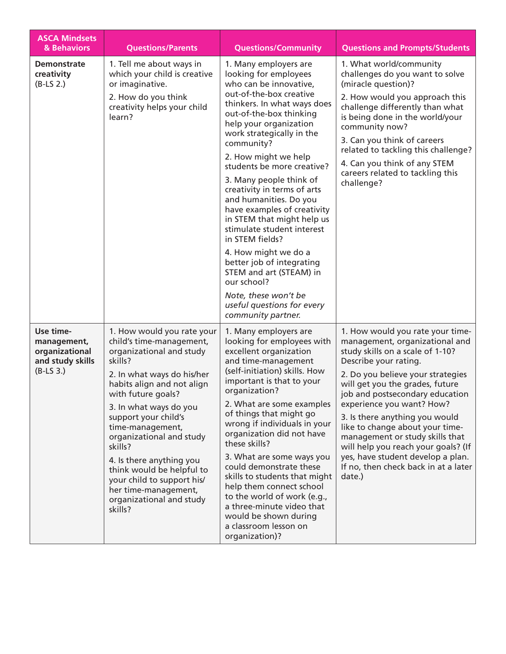| <b>ASCA Mindsets</b><br>& Behaviors                                           | <b>Questions/Parents</b>                                                                                                                                                                                                                                                                                                                                                                                                                           | <b>Questions/Community</b>                                                                                                                                                                                                                                                                                                                                                                                                                                                                                                                                                                                                                                            | <b>Questions and Prompts/Students</b>                                                                                                                                                                                                                                                                                                                                                                                                                                                                         |
|-------------------------------------------------------------------------------|----------------------------------------------------------------------------------------------------------------------------------------------------------------------------------------------------------------------------------------------------------------------------------------------------------------------------------------------------------------------------------------------------------------------------------------------------|-----------------------------------------------------------------------------------------------------------------------------------------------------------------------------------------------------------------------------------------------------------------------------------------------------------------------------------------------------------------------------------------------------------------------------------------------------------------------------------------------------------------------------------------------------------------------------------------------------------------------------------------------------------------------|---------------------------------------------------------------------------------------------------------------------------------------------------------------------------------------------------------------------------------------------------------------------------------------------------------------------------------------------------------------------------------------------------------------------------------------------------------------------------------------------------------------|
| <b>Demonstrate</b><br>creativity<br>$(B-LS 2.)$                               | 1. Tell me about ways in<br>which your child is creative<br>or imaginative.<br>2. How do you think<br>creativity helps your child<br>learn?                                                                                                                                                                                                                                                                                                        | 1. Many employers are<br>looking for employees<br>who can be innovative,<br>out-of-the-box creative<br>thinkers. In what ways does<br>out-of-the-box thinking<br>help your organization<br>work strategically in the<br>community?<br>2. How might we help<br>students be more creative?<br>3. Many people think of<br>creativity in terms of arts<br>and humanities. Do you<br>have examples of creativity<br>in STEM that might help us<br>stimulate student interest<br>in STEM fields?<br>4. How might we do a<br>better job of integrating<br>STEM and art (STEAM) in<br>our school?<br>Note, these won't be<br>useful questions for every<br>community partner. | 1. What world/community<br>challenges do you want to solve<br>(miracle question)?<br>2. How would you approach this<br>challenge differently than what<br>is being done in the world/your<br>community now?<br>3. Can you think of careers<br>related to tackling this challenge?<br>4. Can you think of any STEM<br>careers related to tackling this<br>challenge?                                                                                                                                           |
| Use time-<br>management,<br>organizational<br>and study skills<br>$(B-LS 3.)$ | 1. How would you rate your<br>child's time-management,<br>organizational and study<br>skills?<br>2. In what ways do his/her<br>habits align and not align<br>with future goals?<br>3. In what ways do you<br>support your child's<br>time-management,<br>organizational and study<br>skills?<br>4. Is there anything you<br>think would be helpful to<br>your child to support his/<br>her time-management,<br>organizational and study<br>skills? | 1. Many employers are<br>looking for employees with<br>excellent organization<br>and time-management<br>(self-initiation) skills. How<br>important is that to your<br>organization?<br>2. What are some examples<br>of things that might go<br>wrong if individuals in your<br>organization did not have<br>these skills?<br>3. What are some ways you<br>could demonstrate these<br>skills to students that might<br>help them connect school<br>to the world of work (e.g.,<br>a three-minute video that<br>would be shown during<br>a classroom lesson on<br>organization)?                                                                                        | 1. How would you rate your time-<br>management, organizational and<br>study skills on a scale of 1-10?<br>Describe your rating.<br>2. Do you believe your strategies<br>will get you the grades, future<br>job and postsecondary education<br>experience you want? How?<br>3. Is there anything you would<br>like to change about your time-<br>management or study skills that<br>will help you reach your goals? (If<br>yes, have student develop a plan.<br>If no, then check back in at a later<br>date.) |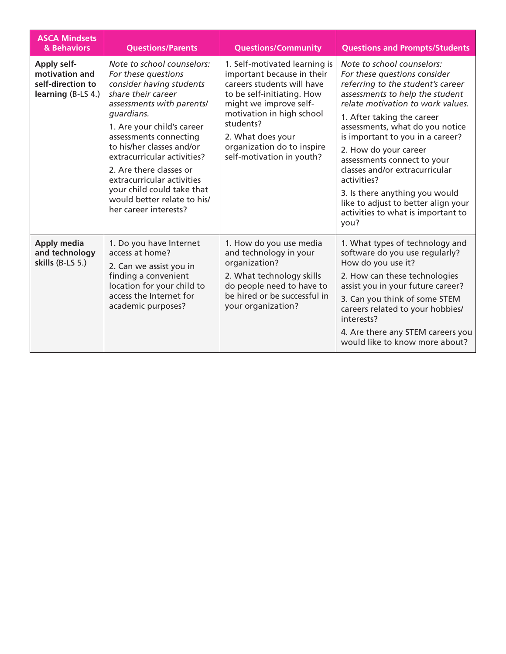| <b>ASCA Mindsets</b><br>& Behaviors                                             | <b>Questions/Parents</b>                                                                                                                                                                                                                                                                                                                                                                                          | <b>Questions/Community</b>                                                                                                                                                                                                                                                  | <b>Questions and Prompts/Students</b>                                                                                                                                                                                                                                                                                                                                                                                                                                                                        |
|---------------------------------------------------------------------------------|-------------------------------------------------------------------------------------------------------------------------------------------------------------------------------------------------------------------------------------------------------------------------------------------------------------------------------------------------------------------------------------------------------------------|-----------------------------------------------------------------------------------------------------------------------------------------------------------------------------------------------------------------------------------------------------------------------------|--------------------------------------------------------------------------------------------------------------------------------------------------------------------------------------------------------------------------------------------------------------------------------------------------------------------------------------------------------------------------------------------------------------------------------------------------------------------------------------------------------------|
| <b>Apply self-</b><br>motivation and<br>self-direction to<br>learning (B-LS 4.) | Note to school counselors:<br>For these questions<br>consider having students<br>share their career<br>assessments with parents/<br>quardians.<br>1. Are your child's career<br>assessments connecting<br>to his/her classes and/or<br>extracurricular activities?<br>2. Are there classes or<br>extracurricular activities<br>your child could take that<br>would better relate to his/<br>her career interests? | 1. Self-motivated learning is<br>important because in their<br>careers students will have<br>to be self-initiating. How<br>might we improve self-<br>motivation in high school<br>students?<br>2. What does your<br>organization do to inspire<br>self-motivation in youth? | Note to school counselors:<br>For these questions consider<br>referring to the student's career<br>assessments to help the student<br>relate motivation to work values.<br>1. After taking the career<br>assessments, what do you notice<br>is important to you in a career?<br>2. How do your career<br>assessments connect to your<br>classes and/or extracurricular<br>activities?<br>3. Is there anything you would<br>like to adjust to better align your<br>activities to what is important to<br>you? |
| <b>Apply media</b><br>and technology<br>skills (B-LS 5.)                        | 1. Do you have Internet<br>access at home?<br>2. Can we assist you in<br>finding a convenient<br>location for your child to<br>access the Internet for<br>academic purposes?                                                                                                                                                                                                                                      | 1. How do you use media<br>and technology in your<br>organization?<br>2. What technology skills<br>do people need to have to<br>be hired or be successful in<br>your organization?                                                                                          | 1. What types of technology and<br>software do you use regularly?<br>How do you use it?<br>2. How can these technologies<br>assist you in your future career?<br>3. Can you think of some STEM<br>careers related to your hobbies/<br>interests?<br>4. Are there any STEM careers you<br>would like to know more about?                                                                                                                                                                                      |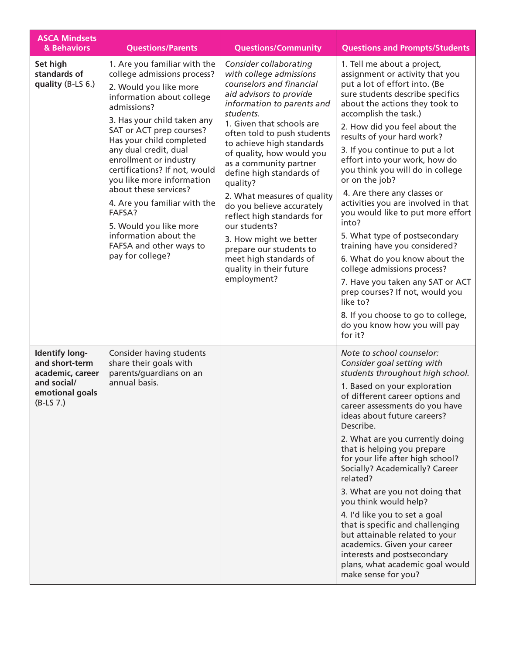| <b>ASCA Mindsets</b><br>& Behaviors                                                                          | <b>Questions/Parents</b>                                                                                                                                                                                                                                                                                                                                                                                                                                                                                       | <b>Questions/Community</b>                                                                                                                                                                                                                                                                                                                                                                                                                                                                                                                                                      | <b>Questions and Prompts/Students</b>                                                                                                                                                                                                                                                                                                                                                                                                                                                                                                                                                                                                                                                                                                                                                                             |
|--------------------------------------------------------------------------------------------------------------|----------------------------------------------------------------------------------------------------------------------------------------------------------------------------------------------------------------------------------------------------------------------------------------------------------------------------------------------------------------------------------------------------------------------------------------------------------------------------------------------------------------|---------------------------------------------------------------------------------------------------------------------------------------------------------------------------------------------------------------------------------------------------------------------------------------------------------------------------------------------------------------------------------------------------------------------------------------------------------------------------------------------------------------------------------------------------------------------------------|-------------------------------------------------------------------------------------------------------------------------------------------------------------------------------------------------------------------------------------------------------------------------------------------------------------------------------------------------------------------------------------------------------------------------------------------------------------------------------------------------------------------------------------------------------------------------------------------------------------------------------------------------------------------------------------------------------------------------------------------------------------------------------------------------------------------|
| Set high<br>standards of<br>quality (B-LS 6.)                                                                | 1. Are you familiar with the<br>college admissions process?<br>2. Would you like more<br>information about college<br>admissions?<br>3. Has your child taken any<br>SAT or ACT prep courses?<br>Has your child completed<br>any dual credit, dual<br>enrollment or industry<br>certifications? If not, would<br>you like more information<br>about these services?<br>4. Are you familiar with the<br>FAFSA?<br>5. Would you like more<br>information about the<br>FAFSA and other ways to<br>pay for college? | Consider collaborating<br>with college admissions<br>counselors and financial<br>aid advisors to provide<br>information to parents and<br>students.<br>1. Given that schools are<br>often told to push students<br>to achieve high standards<br>of quality, how would you<br>as a community partner<br>define high standards of<br>quality?<br>2. What measures of quality<br>do you believe accurately<br>reflect high standards for<br>our students?<br>3. How might we better<br>prepare our students to<br>meet high standards of<br>quality in their future<br>employment? | 1. Tell me about a project,<br>assignment or activity that you<br>put a lot of effort into. (Be<br>sure students describe specifics<br>about the actions they took to<br>accomplish the task.)<br>2. How did you feel about the<br>results of your hard work?<br>3. If you continue to put a lot<br>effort into your work, how do<br>you think you will do in college<br>or on the job?<br>4. Are there any classes or<br>activities you are involved in that<br>you would like to put more effort<br>into?<br>5. What type of postsecondary<br>training have you considered?<br>6. What do you know about the<br>college admissions process?<br>7. Have you taken any SAT or ACT<br>prep courses? If not, would you<br>like to?<br>8. If you choose to go to college,<br>do you know how you will pay<br>for it? |
| <b>Identify long-</b><br>and short-term<br>academic, career<br>and social/<br>emotional goals<br>$(B-LS 7.)$ | Consider having students<br>share their goals with<br>parents/guardians on an<br>annual basis.                                                                                                                                                                                                                                                                                                                                                                                                                 |                                                                                                                                                                                                                                                                                                                                                                                                                                                                                                                                                                                 | Note to school counselor:<br>Consider goal setting with<br>students throughout high school.<br>1. Based on your exploration<br>of different career options and<br>career assessments do you have<br>ideas about future careers?<br>Describe.<br>2. What are you currently doing<br>that is helping you prepare<br>for your life after high school?<br>Socially? Academically? Career<br>related?<br>3. What are you not doing that<br>you think would help?<br>4. I'd like you to set a goal<br>that is specific and challenging<br>but attainable related to your<br>academics. Given your career<br>interests and postsecondary<br>plans, what academic goal would<br>make sense for you?                                                                                                                       |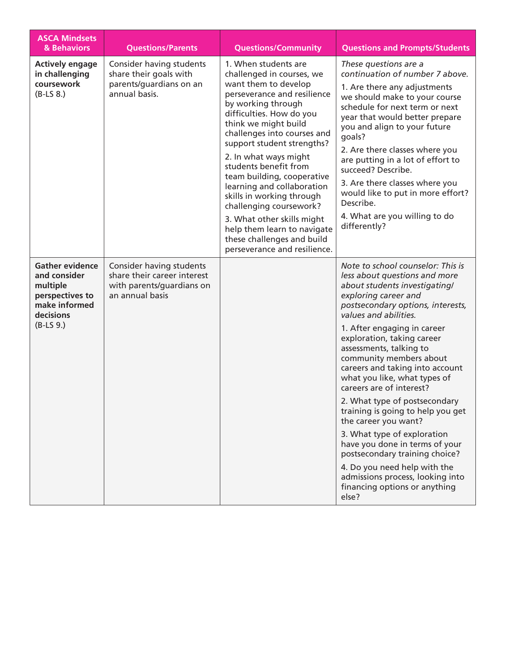| <b>ASCA Mindsets</b><br>& Behaviors                                                                                | <b>Questions/Parents</b>                                                                                | <b>Questions/Community</b>                                                                                                                                                                                                                                                                                                                                                                                                                                                                                                                       | <b>Questions and Prompts/Students</b>                                                                                                                                                                                                                                                                                                                                                                                                                                                                                                                                                                                                                                                                                      |
|--------------------------------------------------------------------------------------------------------------------|---------------------------------------------------------------------------------------------------------|--------------------------------------------------------------------------------------------------------------------------------------------------------------------------------------------------------------------------------------------------------------------------------------------------------------------------------------------------------------------------------------------------------------------------------------------------------------------------------------------------------------------------------------------------|----------------------------------------------------------------------------------------------------------------------------------------------------------------------------------------------------------------------------------------------------------------------------------------------------------------------------------------------------------------------------------------------------------------------------------------------------------------------------------------------------------------------------------------------------------------------------------------------------------------------------------------------------------------------------------------------------------------------------|
| <b>Actively engage</b><br>in challenging<br>coursework<br>$(B-LS 8.)$                                              | Consider having students<br>share their goals with<br>parents/guardians on an<br>annual basis.          | 1. When students are<br>challenged in courses, we<br>want them to develop<br>perseverance and resilience<br>by working through<br>difficulties. How do you<br>think we might build<br>challenges into courses and<br>support student strengths?<br>2. In what ways might<br>students benefit from<br>team building, cooperative<br>learning and collaboration<br>skills in working through<br>challenging coursework?<br>3. What other skills might<br>help them learn to navigate<br>these challenges and build<br>perseverance and resilience. | These questions are a<br>continuation of number 7 above.<br>1. Are there any adjustments<br>we should make to your course<br>schedule for next term or next<br>year that would better prepare<br>you and align to your future<br>goals?<br>2. Are there classes where you<br>are putting in a lot of effort to<br>succeed? Describe.<br>3. Are there classes where you<br>would like to put in more effort?<br>Describe.<br>4. What are you willing to do<br>differently?                                                                                                                                                                                                                                                  |
| <b>Gather evidence</b><br>and consider<br>multiple<br>perspectives to<br>make informed<br>decisions<br>$(B-LS 9.)$ | Consider having students<br>share their career interest<br>with parents/guardians on<br>an annual basis |                                                                                                                                                                                                                                                                                                                                                                                                                                                                                                                                                  | Note to school counselor: This is<br>less about questions and more<br>about students investigating/<br>exploring career and<br>postsecondary options, interests,<br>values and abilities.<br>1. After engaging in career<br>exploration, taking career<br>assessments, talking to<br>community members about<br>careers and taking into account<br>what you like, what types of<br>careers are of interest?<br>2. What type of postsecondary<br>training is going to help you get<br>the career you want?<br>3. What type of exploration<br>have you done in terms of your<br>postsecondary training choice?<br>4. Do you need help with the<br>admissions process, looking into<br>financing options or anything<br>else? |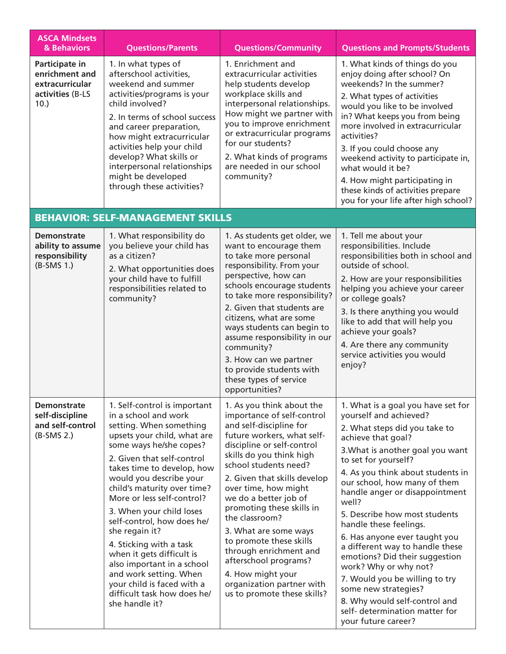| <b>ASCA Mindsets</b><br>& Behaviors                                                | <b>Questions/Parents</b>                                                                                                                                                                                                                                                                                                                                                                                                                                                                                                                                                 | <b>Questions/Community</b>                                                                                                                                                                                                                                                                                                                                                                                                                                                                                                  | <b>Questions and Prompts/Students</b>                                                                                                                                                                                                                                                                                                                                                                                                                                                                                                                                                                                                         |
|------------------------------------------------------------------------------------|--------------------------------------------------------------------------------------------------------------------------------------------------------------------------------------------------------------------------------------------------------------------------------------------------------------------------------------------------------------------------------------------------------------------------------------------------------------------------------------------------------------------------------------------------------------------------|-----------------------------------------------------------------------------------------------------------------------------------------------------------------------------------------------------------------------------------------------------------------------------------------------------------------------------------------------------------------------------------------------------------------------------------------------------------------------------------------------------------------------------|-----------------------------------------------------------------------------------------------------------------------------------------------------------------------------------------------------------------------------------------------------------------------------------------------------------------------------------------------------------------------------------------------------------------------------------------------------------------------------------------------------------------------------------------------------------------------------------------------------------------------------------------------|
| Participate in<br>enrichment and<br>extracurricular<br>activities (B-LS<br>$10.$ ) | 1. In what types of<br>afterschool activities,<br>weekend and summer<br>activities/programs is your<br>child involved?<br>2. In terms of school success<br>and career preparation,<br>how might extracurricular<br>activities help your child<br>develop? What skills or<br>interpersonal relationships<br>might be developed<br>through these activities?                                                                                                                                                                                                               | 1. Enrichment and<br>extracurricular activities<br>help students develop<br>workplace skills and<br>interpersonal relationships.<br>How might we partner with<br>you to improve enrichment<br>or extracurricular programs<br>for our students?<br>2. What kinds of programs<br>are needed in our school<br>community?                                                                                                                                                                                                       | 1. What kinds of things do you<br>enjoy doing after school? On<br>weekends? In the summer?<br>2. What types of activities<br>would you like to be involved<br>in? What keeps you from being<br>more involved in extracurricular<br>activities?<br>3. If you could choose any<br>weekend activity to participate in,<br>what would it be?<br>4. How might participating in<br>these kinds of activities prepare<br>you for your life after high school?                                                                                                                                                                                        |
|                                                                                    | <b>BEHAVIOR: SELF-MANAGEMENT SKILLS</b>                                                                                                                                                                                                                                                                                                                                                                                                                                                                                                                                  |                                                                                                                                                                                                                                                                                                                                                                                                                                                                                                                             |                                                                                                                                                                                                                                                                                                                                                                                                                                                                                                                                                                                                                                               |
| <b>Demonstrate</b><br>ability to assume<br>responsibility<br>$(B-SMS 1.)$          | 1. What responsibility do<br>you believe your child has<br>as a citizen?<br>2. What opportunities does<br>your child have to fulfill<br>responsibilities related to<br>community?                                                                                                                                                                                                                                                                                                                                                                                        | 1. As students get older, we<br>want to encourage them<br>to take more personal<br>responsibility. From your<br>perspective, how can<br>schools encourage students<br>to take more responsibility?<br>2. Given that students are<br>citizens, what are some<br>ways students can begin to<br>assume responsibility in our<br>community?<br>3. How can we partner<br>to provide students with<br>these types of service<br>opportunities?                                                                                    | 1. Tell me about your<br>responsibilities. Include<br>responsibilities both in school and<br>outside of school.<br>2. How are your responsibilities<br>helping you achieve your career<br>or college goals?<br>3. Is there anything you would<br>like to add that will help you<br>achieve your goals?<br>4. Are there any community<br>service activities you would<br>enjoy?                                                                                                                                                                                                                                                                |
| <b>Demonstrate</b><br>self-discipline<br>and self-control<br>$(B-SMS 2.)$          | 1. Self-control is important<br>in a school and work<br>setting. When something<br>upsets your child, what are<br>some ways he/she copes?<br>2. Given that self-control<br>takes time to develop, how<br>would you describe your<br>child's maturity over time?<br>More or less self-control?<br>3. When your child loses<br>self-control, how does he/<br>she regain it?<br>4. Sticking with a task<br>when it gets difficult is<br>also important in a school<br>and work setting. When<br>your child is faced with a<br>difficult task how does he/<br>she handle it? | 1. As you think about the<br>importance of self-control<br>and self-discipline for<br>future workers, what self-<br>discipline or self-control<br>skills do you think high<br>school students need?<br>2. Given that skills develop<br>over time, how might<br>we do a better job of<br>promoting these skills in<br>the classroom?<br>3. What are some ways<br>to promote these skills<br>through enrichment and<br>afterschool programs?<br>4. How might your<br>organization partner with<br>us to promote these skills? | 1. What is a goal you have set for<br>yourself and achieved?<br>2. What steps did you take to<br>achieve that goal?<br>3. What is another goal you want<br>to set for yourself?<br>4. As you think about students in<br>our school, how many of them<br>handle anger or disappointment<br>well?<br>5. Describe how most students<br>handle these feelings.<br>6. Has anyone ever taught you<br>a different way to handle these<br>emotions? Did their suggestion<br>work? Why or why not?<br>7. Would you be willing to try<br>some new strategies?<br>8. Why would self-control and<br>self- determination matter for<br>your future career? |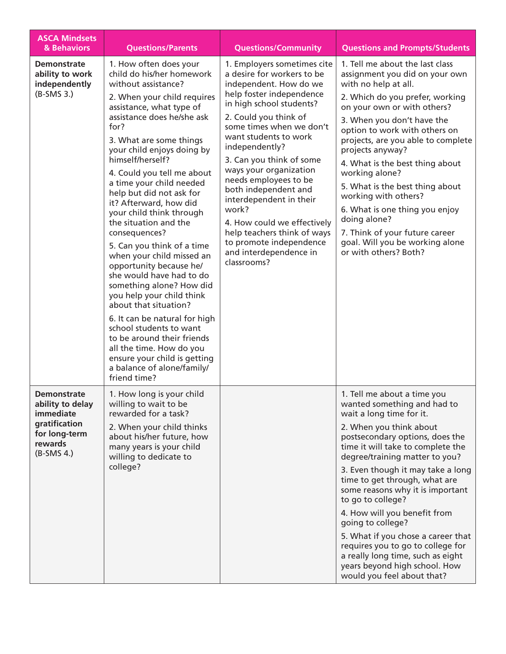| <b>ASCA Mindsets</b><br>& Behaviors                                                                              | <b>Questions/Parents</b>                                                                                                                                                                                                                                                                                                                                                                                                                                                                                                                                                                                                                                                                                                                                                                                                                               | <b>Questions/Community</b>                                                                                                                                                                                                                                                                                                                                                                                                                                                                                               | <b>Questions and Prompts/Students</b>                                                                                                                                                                                                                                                                                                                                                                                                                                                                                                                                                          |
|------------------------------------------------------------------------------------------------------------------|--------------------------------------------------------------------------------------------------------------------------------------------------------------------------------------------------------------------------------------------------------------------------------------------------------------------------------------------------------------------------------------------------------------------------------------------------------------------------------------------------------------------------------------------------------------------------------------------------------------------------------------------------------------------------------------------------------------------------------------------------------------------------------------------------------------------------------------------------------|--------------------------------------------------------------------------------------------------------------------------------------------------------------------------------------------------------------------------------------------------------------------------------------------------------------------------------------------------------------------------------------------------------------------------------------------------------------------------------------------------------------------------|------------------------------------------------------------------------------------------------------------------------------------------------------------------------------------------------------------------------------------------------------------------------------------------------------------------------------------------------------------------------------------------------------------------------------------------------------------------------------------------------------------------------------------------------------------------------------------------------|
| <b>Demonstrate</b><br>ability to work<br>independently<br>$(B-SMS 3.)$                                           | 1. How often does your<br>child do his/her homework<br>without assistance?<br>2. When your child requires<br>assistance, what type of<br>assistance does he/she ask<br>for?<br>3. What are some things<br>your child enjoys doing by<br>himself/herself?<br>4. Could you tell me about<br>a time your child needed<br>help but did not ask for<br>it? Afterward, how did<br>your child think through<br>the situation and the<br>consequences?<br>5. Can you think of a time<br>when your child missed an<br>opportunity because he/<br>she would have had to do<br>something alone? How did<br>you help your child think<br>about that situation?<br>6. It can be natural for high<br>school students to want<br>to be around their friends<br>all the time. How do you<br>ensure your child is getting<br>a balance of alone/family/<br>friend time? | 1. Employers sometimes cite<br>a desire for workers to be<br>independent. How do we<br>help foster independence<br>in high school students?<br>2. Could you think of<br>some times when we don't<br>want students to work<br>independently?<br>3. Can you think of some<br>ways your organization<br>needs employees to be<br>both independent and<br>interdependent in their<br>work?<br>4. How could we effectively<br>help teachers think of ways<br>to promote independence<br>and interdependence in<br>classrooms? | 1. Tell me about the last class<br>assignment you did on your own<br>with no help at all.<br>2. Which do you prefer, working<br>on your own or with others?<br>3. When you don't have the<br>option to work with others on<br>projects, are you able to complete<br>projects anyway?<br>4. What is the best thing about<br>working alone?<br>5. What is the best thing about<br>working with others?<br>6. What is one thing you enjoy<br>doing alone?<br>7. Think of your future career<br>goal. Will you be working alone<br>or with others? Both?                                           |
| <b>Demonstrate</b><br>ability to delay<br>immediate<br>gratification<br>for long-term<br>rewards<br>$(B-SMS 4.)$ | 1. How long is your child<br>willing to wait to be<br>rewarded for a task?<br>2. When your child thinks<br>about his/her future, how<br>many years is your child<br>willing to dedicate to<br>college?                                                                                                                                                                                                                                                                                                                                                                                                                                                                                                                                                                                                                                                 |                                                                                                                                                                                                                                                                                                                                                                                                                                                                                                                          | 1. Tell me about a time you<br>wanted something and had to<br>wait a long time for it.<br>2. When you think about<br>postsecondary options, does the<br>time it will take to complete the<br>degree/training matter to you?<br>3. Even though it may take a long<br>time to get through, what are<br>some reasons why it is important<br>to go to college?<br>4. How will you benefit from<br>going to college?<br>5. What if you chose a career that<br>requires you to go to college for<br>a really long time, such as eight<br>years beyond high school. How<br>would you feel about that? |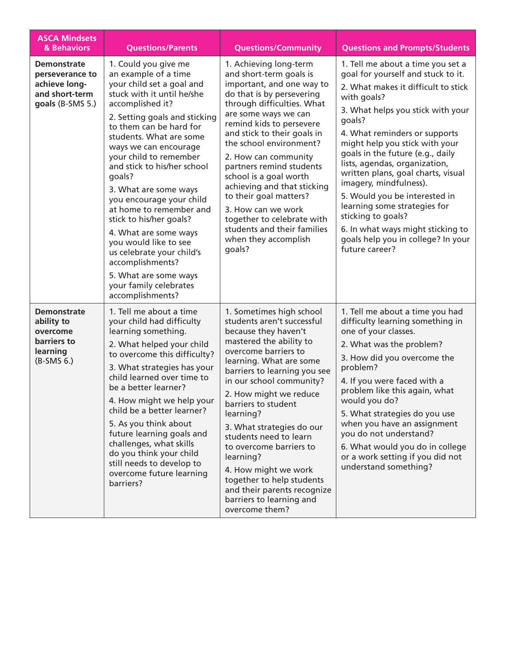| <b>ASCA Mindsets</b><br>& Behaviors                                                          | <b>Questions/Parents</b>                                                                                                                                                                                                                                                                                                                                                                                                                                                                                                                                                                            | <b>Questions/Community</b>                                                                                                                                                                                                                                                                                                                                                                                                                                                                                              | <b>Questions and Prompts/Students</b>                                                                                                                                                                                                                                                                                                                                                                                                                                                                                                                                    |
|----------------------------------------------------------------------------------------------|-----------------------------------------------------------------------------------------------------------------------------------------------------------------------------------------------------------------------------------------------------------------------------------------------------------------------------------------------------------------------------------------------------------------------------------------------------------------------------------------------------------------------------------------------------------------------------------------------------|-------------------------------------------------------------------------------------------------------------------------------------------------------------------------------------------------------------------------------------------------------------------------------------------------------------------------------------------------------------------------------------------------------------------------------------------------------------------------------------------------------------------------|--------------------------------------------------------------------------------------------------------------------------------------------------------------------------------------------------------------------------------------------------------------------------------------------------------------------------------------------------------------------------------------------------------------------------------------------------------------------------------------------------------------------------------------------------------------------------|
| <b>Demonstrate</b><br>perseverance to<br>achieve long-<br>and short-term<br>goals (B-SMS 5.) | 1. Could you give me<br>an example of a time<br>your child set a goal and<br>stuck with it until he/she<br>accomplished it?<br>2. Setting goals and sticking<br>to them can be hard for<br>students. What are some<br>ways we can encourage<br>your child to remember<br>and stick to his/her school<br>goals?<br>3. What are some ways<br>you encourage your child<br>at home to remember and<br>stick to his/her goals?<br>4. What are some ways<br>you would like to see<br>us celebrate your child's<br>accomplishments?<br>5. What are some ways<br>your family celebrates<br>accomplishments? | 1. Achieving long-term<br>and short-term goals is<br>important, and one way to<br>do that is by persevering<br>through difficulties. What<br>are some ways we can<br>remind kids to persevere<br>and stick to their goals in<br>the school environment?<br>2. How can community<br>partners remind students<br>school is a goal worth<br>achieving and that sticking<br>to their goal matters?<br>3. How can we work<br>together to celebrate with<br>students and their families<br>when they accomplish<br>goals?     | 1. Tell me about a time you set a<br>goal for yourself and stuck to it.<br>2. What makes it difficult to stick<br>with goals?<br>3. What helps you stick with your<br>goals?<br>4. What reminders or supports<br>might help you stick with your<br>goals in the future (e.g., daily<br>lists, agendas, organization,<br>written plans, goal charts, visual<br>imagery, mindfulness).<br>5. Would you be interested in<br>learning some strategies for<br>sticking to goals?<br>6. In what ways might sticking to<br>goals help you in college? In your<br>future career? |
| <b>Demonstrate</b><br>ability to<br>overcome<br>barriers to<br>learning<br>$(B-SMS 6.)$      | 1. Tell me about a time<br>your child had difficulty<br>learning something.<br>2. What helped your child<br>to overcome this difficulty?<br>3. What strategies has your<br>child learned over time to<br>be a better learner?<br>4. How might we help your<br>child be a better learner?<br>5. As you think about<br>future learning goals and<br>challenges, what skills<br>do you think your child<br>still needs to develop to<br>overcome future learning<br>barriers?                                                                                                                          | 1. Sometimes high school<br>students aren't successful<br>because they haven't<br>mastered the ability to<br>overcome barriers to<br>learning. What are some<br>barriers to learning you see<br>in our school community?<br>2. How might we reduce<br>barriers to student<br>learning?<br>3. What strategies do our<br>students need to learn<br>to overcome barriers to<br>learning?<br>4. How might we work<br>together to help students<br>and their parents recognize<br>barriers to learning and<br>overcome them? | 1. Tell me about a time you had<br>difficulty learning something in<br>one of your classes.<br>2. What was the problem?<br>3. How did you overcome the<br>problem?<br>4. If you were faced with a<br>problem like this again, what<br>would you do?<br>5. What strategies do you use<br>when you have an assignment<br>you do not understand?<br>6. What would you do in college<br>or a work setting if you did not<br>understand something?                                                                                                                            |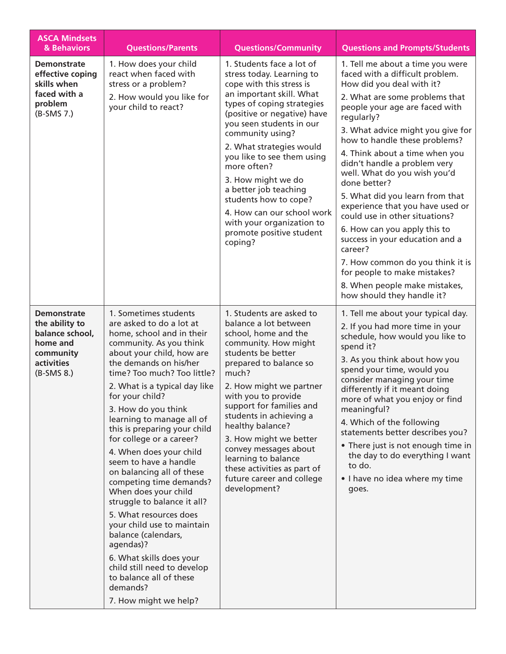| <b>ASCA Mindsets</b><br>& Behaviors                                                                            | <b>Questions/Parents</b>                                                                                                                                                                                                                                                                                                                                                                                                                                                                                                                                                                                                                                                                                                                                      | <b>Questions/Community</b>                                                                                                                                                                                                                                                                                                                                                                                                                                                     | <b>Questions and Prompts/Students</b>                                                                                                                                                                                                                                                                                                                                                                                                                                                                                                                                                                                                                                                                |
|----------------------------------------------------------------------------------------------------------------|---------------------------------------------------------------------------------------------------------------------------------------------------------------------------------------------------------------------------------------------------------------------------------------------------------------------------------------------------------------------------------------------------------------------------------------------------------------------------------------------------------------------------------------------------------------------------------------------------------------------------------------------------------------------------------------------------------------------------------------------------------------|--------------------------------------------------------------------------------------------------------------------------------------------------------------------------------------------------------------------------------------------------------------------------------------------------------------------------------------------------------------------------------------------------------------------------------------------------------------------------------|------------------------------------------------------------------------------------------------------------------------------------------------------------------------------------------------------------------------------------------------------------------------------------------------------------------------------------------------------------------------------------------------------------------------------------------------------------------------------------------------------------------------------------------------------------------------------------------------------------------------------------------------------------------------------------------------------|
| <b>Demonstrate</b><br>effective coping<br>skills when<br>faced with a<br>problem<br>$(B-SMS 7.)$               | 1. How does your child<br>react when faced with<br>stress or a problem?<br>2. How would you like for<br>your child to react?                                                                                                                                                                                                                                                                                                                                                                                                                                                                                                                                                                                                                                  | 1. Students face a lot of<br>stress today. Learning to<br>cope with this stress is<br>an important skill. What<br>types of coping strategies<br>(positive or negative) have<br>you seen students in our<br>community using?<br>2. What strategies would<br>you like to see them using<br>more often?<br>3. How might we do<br>a better job teaching<br>students how to cope?<br>4. How can our school work<br>with your organization to<br>promote positive student<br>coping? | 1. Tell me about a time you were<br>faced with a difficult problem.<br>How did you deal with it?<br>2. What are some problems that<br>people your age are faced with<br>regularly?<br>3. What advice might you give for<br>how to handle these problems?<br>4. Think about a time when you<br>didn't handle a problem very<br>well. What do you wish you'd<br>done better?<br>5. What did you learn from that<br>experience that you have used or<br>could use in other situations?<br>6. How can you apply this to<br>success in your education and a<br>career?<br>7. How common do you think it is<br>for people to make mistakes?<br>8. When people make mistakes,<br>how should they handle it? |
| <b>Demonstrate</b><br>the ability to<br>balance school,<br>home and<br>community<br>activities<br>$(B-SMS 8.)$ | 1. Sometimes students<br>are asked to do a lot at<br>home, school and in their<br>community. As you think<br>about your child, how are<br>the demands on his/her<br>time? Too much? Too little?<br>2. What is a typical day like<br>for your child?<br>3. How do you think<br>learning to manage all of<br>this is preparing your child<br>for college or a career?<br>4. When does your child<br>seem to have a handle<br>on balancing all of these<br>competing time demands?<br>When does your child<br>struggle to balance it all?<br>5. What resources does<br>your child use to maintain<br>balance (calendars,<br>agendas)?<br>6. What skills does your<br>child still need to develop<br>to balance all of these<br>demands?<br>7. How might we help? | 1. Students are asked to<br>balance a lot between<br>school, home and the<br>community. How might<br>students be better<br>prepared to balance so<br>much?<br>2. How might we partner<br>with you to provide<br>support for families and<br>students in achieving a<br>healthy balance?<br>3. How might we better<br>convey messages about<br>learning to balance<br>these activities as part of<br>future career and college<br>development?                                  | 1. Tell me about your typical day.<br>2. If you had more time in your<br>schedule, how would you like to<br>spend it?<br>3. As you think about how you<br>spend your time, would you<br>consider managing your time<br>differently if it meant doing<br>more of what you enjoy or find<br>meaningful?<br>4. Which of the following<br>statements better describes you?<br>• There just is not enough time in<br>the day to do everything I want<br>to do.<br>• I have no idea where my time<br>goes.                                                                                                                                                                                                 |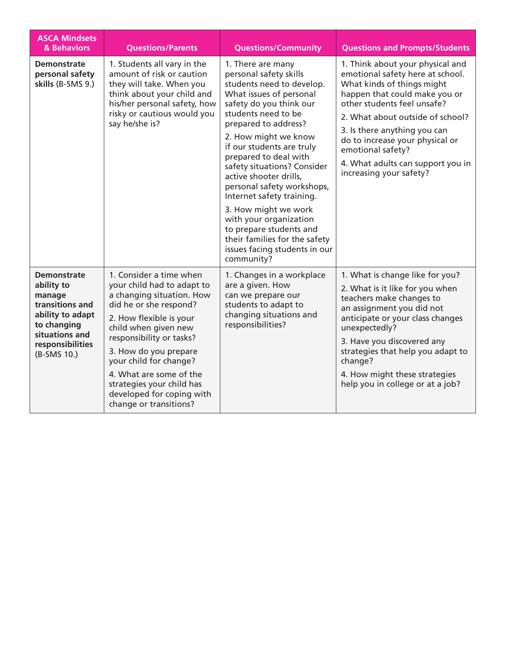| <b>ASCA Mindsets</b><br>& Behaviors                                                                                                                   | <b>Questions/Parents</b>                                                                                                                                                                                                                                                                                                                                      | <b>Questions/Community</b>                                                                                                                                                                                                                                                                                                                                                                                                                                                                                                                   | <b>Questions and Prompts/Students</b>                                                                                                                                                                                                                                                                                                                          |
|-------------------------------------------------------------------------------------------------------------------------------------------------------|---------------------------------------------------------------------------------------------------------------------------------------------------------------------------------------------------------------------------------------------------------------------------------------------------------------------------------------------------------------|----------------------------------------------------------------------------------------------------------------------------------------------------------------------------------------------------------------------------------------------------------------------------------------------------------------------------------------------------------------------------------------------------------------------------------------------------------------------------------------------------------------------------------------------|----------------------------------------------------------------------------------------------------------------------------------------------------------------------------------------------------------------------------------------------------------------------------------------------------------------------------------------------------------------|
| <b>Demonstrate</b><br>personal safety<br>skills (B-SMS 9.)                                                                                            | 1. Students all vary in the<br>amount of risk or caution<br>they will take. When you<br>think about your child and<br>his/her personal safety, how<br>risky or cautious would you<br>say he/she is?                                                                                                                                                           | 1. There are many<br>personal safety skills<br>students need to develop.<br>What issues of personal<br>safety do you think our<br>students need to be<br>prepared to address?<br>2. How might we know<br>if our students are truly<br>prepared to deal with<br>safety situations? Consider<br>active shooter drills,<br>personal safety workshops,<br>Internet safety training.<br>3. How might we work<br>with your organization<br>to prepare students and<br>their families for the safety<br>issues facing students in our<br>community? | 1. Think about your physical and<br>emotional safety here at school.<br>What kinds of things might<br>happen that could make you or<br>other students feel unsafe?<br>2. What about outside of school?<br>3. Is there anything you can<br>do to increase your physical or<br>emotional safety?<br>4. What adults can support you in<br>increasing your safety? |
| <b>Demonstrate</b><br>ability to<br>manage<br>transitions and<br>ability to adapt<br>to changing<br>situations and<br>responsibilities<br>(B-SMS 10.) | 1. Consider a time when<br>your child had to adapt to<br>a changing situation. How<br>did he or she respond?<br>2. How flexible is your<br>child when given new<br>responsibility or tasks?<br>3. How do you prepare<br>your child for change?<br>4. What are some of the<br>strategies your child has<br>developed for coping with<br>change or transitions? | 1. Changes in a workplace<br>are a given. How<br>can we prepare our<br>students to adapt to<br>changing situations and<br>responsibilities?                                                                                                                                                                                                                                                                                                                                                                                                  | 1. What is change like for you?<br>2. What is it like for you when<br>teachers make changes to<br>an assignment you did not<br>anticipate or your class changes<br>unexpectedly?<br>3. Have you discovered any<br>strategies that help you adapt to<br>change?<br>4. How might these strategies<br>help you in college or at a job?                            |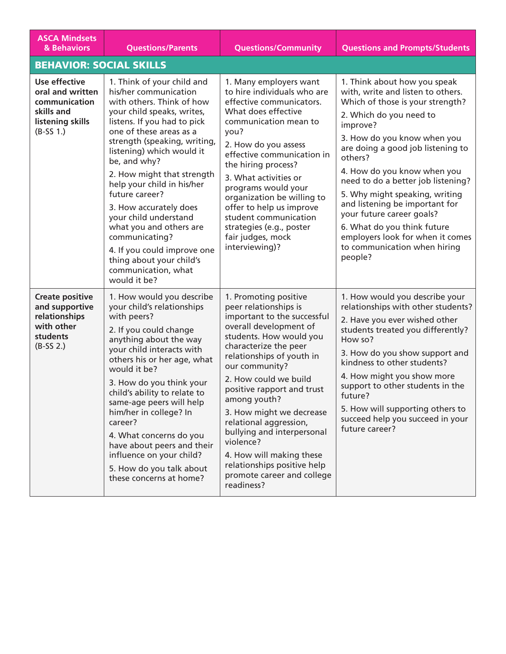| <b>ASCA Mindsets</b><br>& Behaviors                                                                        | <b>Questions/Parents</b>                                                                                                                                                                                                                                                                                                                                                                                                                                                                                                              | <b>Questions/Community</b>                                                                                                                                                                                                                                                                                                                                                                                                                                                                | <b>Questions and Prompts/Students</b>                                                                                                                                                                                                                                                                                                                                                                                                                                                                           |
|------------------------------------------------------------------------------------------------------------|---------------------------------------------------------------------------------------------------------------------------------------------------------------------------------------------------------------------------------------------------------------------------------------------------------------------------------------------------------------------------------------------------------------------------------------------------------------------------------------------------------------------------------------|-------------------------------------------------------------------------------------------------------------------------------------------------------------------------------------------------------------------------------------------------------------------------------------------------------------------------------------------------------------------------------------------------------------------------------------------------------------------------------------------|-----------------------------------------------------------------------------------------------------------------------------------------------------------------------------------------------------------------------------------------------------------------------------------------------------------------------------------------------------------------------------------------------------------------------------------------------------------------------------------------------------------------|
| <b>BEHAVIOR: SOCIAL SKILLS</b>                                                                             |                                                                                                                                                                                                                                                                                                                                                                                                                                                                                                                                       |                                                                                                                                                                                                                                                                                                                                                                                                                                                                                           |                                                                                                                                                                                                                                                                                                                                                                                                                                                                                                                 |
| <b>Use effective</b><br>oral and written<br>communication<br>skills and<br>listening skills<br>$(B-SS 1.)$ | 1. Think of your child and<br>his/her communication<br>with others. Think of how<br>your child speaks, writes,<br>listens. If you had to pick<br>one of these areas as a<br>strength (speaking, writing,<br>listening) which would it<br>be, and why?<br>2. How might that strength<br>help your child in his/her<br>future career?<br>3. How accurately does<br>your child understand<br>what you and others are<br>communicating?<br>4. If you could improve one<br>thing about your child's<br>communication, what<br>would it be? | 1. Many employers want<br>to hire individuals who are<br>effective communicators.<br>What does effective<br>communication mean to<br>you?<br>2. How do you assess<br>effective communication in<br>the hiring process?<br>3. What activities or<br>programs would your<br>organization be willing to<br>offer to help us improve<br>student communication<br>strategies (e.g., poster<br>fair judges, mock<br>interviewing)?                                                              | 1. Think about how you speak<br>with, write and listen to others.<br>Which of those is your strength?<br>2. Which do you need to<br>improve?<br>3. How do you know when you<br>are doing a good job listening to<br>others?<br>4. How do you know when you<br>need to do a better job listening?<br>5. Why might speaking, writing<br>and listening be important for<br>your future career goals?<br>6. What do you think future<br>employers look for when it comes<br>to communication when hiring<br>people? |
| <b>Create positive</b><br>and supportive<br>relationships<br>with other<br>students<br>$(B-SS 2.)$         | 1. How would you describe<br>your child's relationships<br>with peers?<br>2. If you could change<br>anything about the way<br>your child interacts with<br>others his or her age, what<br>would it be?<br>3. How do you think your<br>child's ability to relate to<br>same-age peers will help<br>him/her in college? In<br>career?<br>4. What concerns do you<br>have about peers and their<br>influence on your child?<br>5. How do you talk about<br>these concerns at home?                                                       | 1. Promoting positive<br>peer relationships is<br>important to the successful<br>overall development of<br>students. How would you<br>characterize the peer<br>relationships of youth in<br>our community?<br>2. How could we build<br>positive rapport and trust<br>among youth?<br>3. How might we decrease<br>relational aggression,<br>bullying and interpersonal<br>violence?<br>4. How will making these<br>relationships positive help<br>promote career and college<br>readiness? | 1. How would you describe your<br>relationships with other students?<br>2. Have you ever wished other<br>students treated you differently?<br>How so?<br>3. How do you show support and<br>kindness to other students?<br>4. How might you show more<br>support to other students in the<br>future?<br>5. How will supporting others to<br>succeed help you succeed in your<br>future career?                                                                                                                   |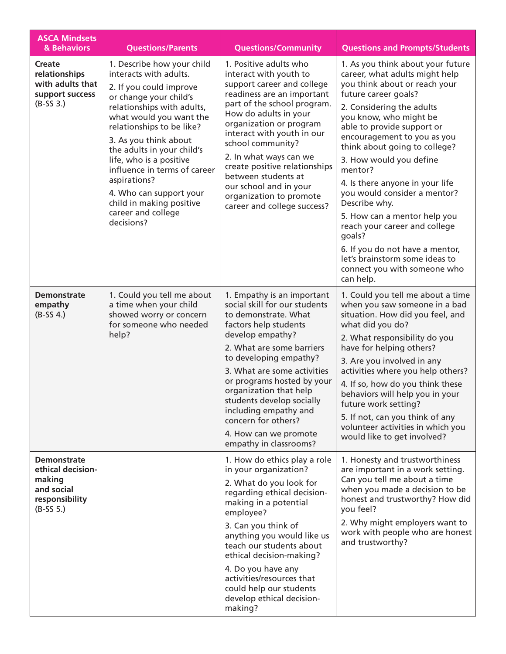| <b>ASCA Mindsets</b><br>& Behaviors                                                              | <b>Questions/Parents</b>                                                                                                                                                                                                                                                                                                                                                                                                     | <b>Questions/Community</b>                                                                                                                                                                                                                                                                                                                                                                                               | <b>Questions and Prompts/Students</b>                                                                                                                                                                                                                                                                                                                                                                                                                                                                                                                                                                    |
|--------------------------------------------------------------------------------------------------|------------------------------------------------------------------------------------------------------------------------------------------------------------------------------------------------------------------------------------------------------------------------------------------------------------------------------------------------------------------------------------------------------------------------------|--------------------------------------------------------------------------------------------------------------------------------------------------------------------------------------------------------------------------------------------------------------------------------------------------------------------------------------------------------------------------------------------------------------------------|----------------------------------------------------------------------------------------------------------------------------------------------------------------------------------------------------------------------------------------------------------------------------------------------------------------------------------------------------------------------------------------------------------------------------------------------------------------------------------------------------------------------------------------------------------------------------------------------------------|
| Create<br>relationships<br>with adults that<br>support success<br>$(B-SS3.)$                     | 1. Describe how your child<br>interacts with adults.<br>2. If you could improve<br>or change your child's<br>relationships with adults,<br>what would you want the<br>relationships to be like?<br>3. As you think about<br>the adults in your child's<br>life, who is a positive<br>influence in terms of career<br>aspirations?<br>4. Who can support your<br>child in making positive<br>career and college<br>decisions? | 1. Positive adults who<br>interact with youth to<br>support career and college<br>readiness are an important<br>part of the school program.<br>How do adults in your<br>organization or program<br>interact with youth in our<br>school community?<br>2. In what ways can we<br>create positive relationships<br>between students at<br>our school and in your<br>organization to promote<br>career and college success? | 1. As you think about your future<br>career, what adults might help<br>you think about or reach your<br>future career goals?<br>2. Considering the adults<br>you know, who might be<br>able to provide support or<br>encouragement to you as you<br>think about going to college?<br>3. How would you define<br>mentor?<br>4. Is there anyone in your life<br>you would consider a mentor?<br>Describe why.<br>5. How can a mentor help you<br>reach your career and college<br>goals?<br>6. If you do not have a mentor,<br>let's brainstorm some ideas to<br>connect you with someone who<br>can help. |
| <b>Demonstrate</b><br>empathy<br>$(B-SS 4.)$                                                     | 1. Could you tell me about<br>a time when your child<br>showed worry or concern<br>for someone who needed<br>help?                                                                                                                                                                                                                                                                                                           | 1. Empathy is an important<br>social skill for our students<br>to demonstrate. What<br>factors help students<br>develop empathy?<br>2. What are some barriers<br>to developing empathy?<br>3. What are some activities<br>or programs hosted by your<br>organization that help<br>students develop socially<br>including empathy and<br>concern for others?<br>4. How can we promote<br>empathy in classrooms?           | 1. Could you tell me about a time<br>when you saw someone in a bad<br>situation. How did you feel, and<br>what did you do?<br>2. What responsibility do you<br>have for helping others?<br>3. Are you involved in any<br>activities where you help others?<br>4. If so, how do you think these<br>behaviors will help you in your<br>future work setting?<br>5. If not, can you think of any<br>volunteer activities in which you<br>would like to get involved?                                                                                                                                         |
| <b>Demonstrate</b><br>ethical decision-<br>making<br>and social<br>responsibility<br>$(B-SS 5.)$ |                                                                                                                                                                                                                                                                                                                                                                                                                              | 1. How do ethics play a role<br>in your organization?<br>2. What do you look for<br>regarding ethical decision-<br>making in a potential<br>employee?<br>3. Can you think of<br>anything you would like us<br>teach our students about<br>ethical decision-making?<br>4. Do you have any<br>activities/resources that<br>could help our students<br>develop ethical decision-<br>making?                                 | 1. Honesty and trustworthiness<br>are important in a work setting.<br>Can you tell me about a time<br>when you made a decision to be<br>honest and trustworthy? How did<br>you feel?<br>2. Why might employers want to<br>work with people who are honest<br>and trustworthy?                                                                                                                                                                                                                                                                                                                            |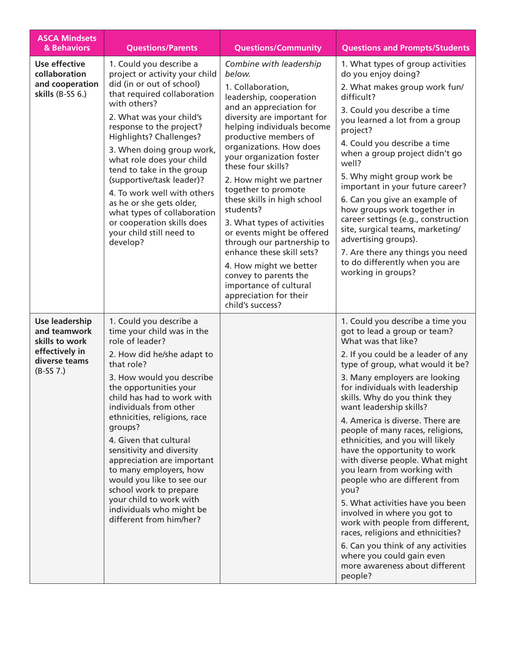| <b>ASCA Mindsets</b><br>& Behaviors                                                                | <b>Questions/Parents</b>                                                                                                                                                                                                                                                                                                                                                                                                                                                                                                               | <b>Questions/Community</b>                                                                                                                                                                                                                                                                                                                                                                                                                                                                                                                                                                                                       | <b>Questions and Prompts/Students</b>                                                                                                                                                                                                                                                                                                                                                                                                                                                                                                                                                                                                                                                                                                                                                                                 |
|----------------------------------------------------------------------------------------------------|----------------------------------------------------------------------------------------------------------------------------------------------------------------------------------------------------------------------------------------------------------------------------------------------------------------------------------------------------------------------------------------------------------------------------------------------------------------------------------------------------------------------------------------|----------------------------------------------------------------------------------------------------------------------------------------------------------------------------------------------------------------------------------------------------------------------------------------------------------------------------------------------------------------------------------------------------------------------------------------------------------------------------------------------------------------------------------------------------------------------------------------------------------------------------------|-----------------------------------------------------------------------------------------------------------------------------------------------------------------------------------------------------------------------------------------------------------------------------------------------------------------------------------------------------------------------------------------------------------------------------------------------------------------------------------------------------------------------------------------------------------------------------------------------------------------------------------------------------------------------------------------------------------------------------------------------------------------------------------------------------------------------|
| <b>Use effective</b><br>collaboration<br>and cooperation<br>skills (B-SS 6.)                       | 1. Could you describe a<br>project or activity your child<br>did (in or out of school)<br>that required collaboration<br>with others?<br>2. What was your child's<br>response to the project?<br>Highlights? Challenges?<br>3. When doing group work,<br>what role does your child<br>tend to take in the group<br>(supportive/task leader)?<br>4. To work well with others<br>as he or she gets older,<br>what types of collaboration<br>or cooperation skills does<br>your child still need to<br>develop?                           | Combine with leadership<br>below.<br>1. Collaboration,<br>leadership, cooperation<br>and an appreciation for<br>diversity are important for<br>helping individuals become<br>productive members of<br>organizations. How does<br>your organization foster<br>these four skills?<br>2. How might we partner<br>together to promote<br>these skills in high school<br>students?<br>3. What types of activities<br>or events might be offered<br>through our partnership to<br>enhance these skill sets?<br>4. How might we better<br>convey to parents the<br>importance of cultural<br>appreciation for their<br>child's success? | 1. What types of group activities<br>do you enjoy doing?<br>2. What makes group work fun/<br>difficult?<br>3. Could you describe a time<br>you learned a lot from a group<br>project?<br>4. Could you describe a time<br>when a group project didn't go<br>well?<br>5. Why might group work be<br>important in your future career?<br>6. Can you give an example of<br>how groups work together in<br>career settings (e.g., construction<br>site, surgical teams, marketing/<br>advertising groups).<br>7. Are there any things you need<br>to do differently when you are<br>working in groups?                                                                                                                                                                                                                     |
| Use leadership<br>and teamwork<br>skills to work<br>effectively in<br>diverse teams<br>$(B-SS 7.)$ | 1. Could you describe a<br>time your child was in the<br>role of leader?<br>2. How did he/she adapt to<br>that role?<br>3. How would you describe<br>the opportunities your<br>child has had to work with<br>individuals from other<br>ethnicities, religions, race<br>groups?<br>4. Given that cultural<br>sensitivity and diversity<br>appreciation are important<br>to many employers, how<br>would you like to see our<br>school work to prepare<br>your child to work with<br>individuals who might be<br>different from him/her? |                                                                                                                                                                                                                                                                                                                                                                                                                                                                                                                                                                                                                                  | 1. Could you describe a time you<br>got to lead a group or team?<br>What was that like?<br>2. If you could be a leader of any<br>type of group, what would it be?<br>3. Many employers are looking<br>for individuals with leadership<br>skills. Why do you think they<br>want leadership skills?<br>4. America is diverse. There are<br>people of many races, religions,<br>ethnicities, and you will likely<br>have the opportunity to work<br>with diverse people. What might<br>you learn from working with<br>people who are different from<br>you?<br>5. What activities have you been<br>involved in where you got to<br>work with people from different,<br>races, religions and ethnicities?<br>6. Can you think of any activities<br>where you could gain even<br>more awareness about different<br>people? |